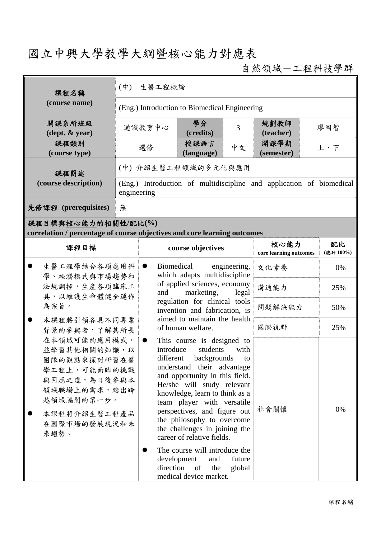## 國立中興大學教學大綱暨核心能力對應表

自然領域-工程科技學群

| 課程名稱                                                                                                                                                                                                                                                       | (中) 生醫工程概論                                                                          |                                                                                                                     |                                                                                                                                                                                                                                                                                                                                                                                                                                                                                                                         |        |                                |                 |  |
|------------------------------------------------------------------------------------------------------------------------------------------------------------------------------------------------------------------------------------------------------------|-------------------------------------------------------------------------------------|---------------------------------------------------------------------------------------------------------------------|-------------------------------------------------------------------------------------------------------------------------------------------------------------------------------------------------------------------------------------------------------------------------------------------------------------------------------------------------------------------------------------------------------------------------------------------------------------------------------------------------------------------------|--------|--------------------------------|-----------------|--|
| (course name)                                                                                                                                                                                                                                              | (Eng.) Introduction to Biomedical Engineering                                       |                                                                                                                     |                                                                                                                                                                                                                                                                                                                                                                                                                                                                                                                         |        |                                |                 |  |
| 開課系所班級<br>$(\text{dept.} \& \text{ year})$                                                                                                                                                                                                                 | 通識教育中心                                                                              |                                                                                                                     | 學分<br>(credits)                                                                                                                                                                                                                                                                                                                                                                                                                                                                                                         | 3      | 規劃教師<br>(teacher)              | 廖國智             |  |
| 課程類別<br>(course type)                                                                                                                                                                                                                                      |                                                                                     | 選修                                                                                                                  | 授課語言<br>(language)                                                                                                                                                                                                                                                                                                                                                                                                                                                                                                      | 中文     | 開課學期<br>(semester)             | 上、下             |  |
| 課程簡述<br>(course description)                                                                                                                                                                                                                               | (中) 介紹生醫工程領域的多元化與應用                                                                 |                                                                                                                     |                                                                                                                                                                                                                                                                                                                                                                                                                                                                                                                         |        |                                |                 |  |
|                                                                                                                                                                                                                                                            | (Eng.) Introduction of multidiscipline and application of biomedical<br>engineering |                                                                                                                     |                                                                                                                                                                                                                                                                                                                                                                                                                                                                                                                         |        |                                |                 |  |
| 先修課程 (prerequisites)                                                                                                                                                                                                                                       | 無                                                                                   |                                                                                                                     |                                                                                                                                                                                                                                                                                                                                                                                                                                                                                                                         |        |                                |                 |  |
| 課程目標與核心能力的相關性/配比(%)<br>correlation / percentage of course objectives and core learning outcomes                                                                                                                                                            |                                                                                     |                                                                                                                     |                                                                                                                                                                                                                                                                                                                                                                                                                                                                                                                         |        |                                |                 |  |
| 課程目標                                                                                                                                                                                                                                                       |                                                                                     |                                                                                                                     | course objectives                                                                                                                                                                                                                                                                                                                                                                                                                                                                                                       |        | 核心能力<br>core learning outcomes | 配比<br>(總計 100%) |  |
| 生醫工程學結合各項應用科<br>學、經濟模式與市場趨勢和<br>法規調控,生產各項臨床工<br>具,以維護生命體健全運作<br>為宗旨。<br>本課程將引領各具不同專業<br>背景的參與者,了解其所長<br>在本領域可能的應用模式,<br>並學習其他相關的知識,以<br>團隊的觀點來探討研習在醫<br>學工程上,可能面臨的挑戰<br>與因應之道,為日後參與本<br>領域職場上的需求,踏出跨<br>越領域隔閡的第一步。<br>本課程將介紹生醫工程產品<br>在國際市場的發展現況和未<br>來趨勢。 |                                                                                     | Biomedical<br>engineering,<br>$\bullet$<br>which adapts multidiscipline                                             | 文化素養                                                                                                                                                                                                                                                                                                                                                                                                                                                                                                                    | 0%     |                                |                 |  |
|                                                                                                                                                                                                                                                            |                                                                                     | of applied sciences, economy<br>marketing,<br>and<br>legal                                                          |                                                                                                                                                                                                                                                                                                                                                                                                                                                                                                                         |        | 溝通能力                           | 25%             |  |
|                                                                                                                                                                                                                                                            |                                                                                     | regulation for clinical tools<br>invention and fabrication, is<br>aimed to maintain the health<br>of human welfare. |                                                                                                                                                                                                                                                                                                                                                                                                                                                                                                                         | 問題解決能力 | 50%                            |                 |  |
|                                                                                                                                                                                                                                                            |                                                                                     |                                                                                                                     |                                                                                                                                                                                                                                                                                                                                                                                                                                                                                                                         | 國際視野   | 25%                            |                 |  |
|                                                                                                                                                                                                                                                            |                                                                                     | $\bullet$                                                                                                           | This course is designed to<br>students<br>introduce<br>with<br>different<br>backgrounds<br>to<br>understand their advantage<br>and opportunity in this field.<br>He/she will study relevant<br>knowledge, learn to think as a<br>team player with versatile<br>perspectives, and figure out<br>the philosophy to overcome<br>the challenges in joining the<br>career of relative fields.<br>The course will introduce the<br>development<br>future<br>and<br>direction<br>of<br>the<br>global<br>medical device market. |        | 社會關懷                           | 0%              |  |